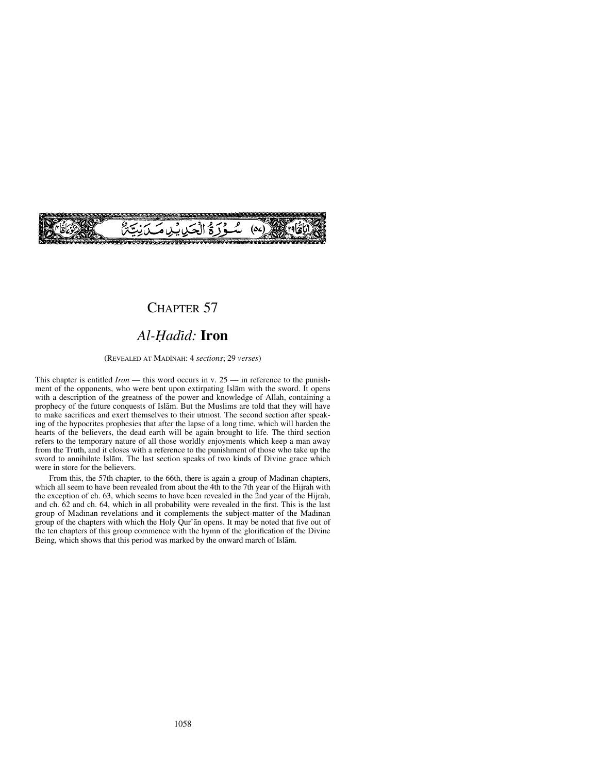

# CHAPTER 57

# Al-Hadīd: **Iron**

(REVEALED AT MADÍNAH: 4 *sections*; 29 *verses*)

This chapter is entitled *Iron* — this word occurs in v. 25 — in reference to the punishment of the opponents, who were bent upon extirpating Islåm with the sword. It opens with a description of the greatness of the power and knowledge of Allåh, containing a prophecy of the future conquests of Islåm. But the Muslims are told that they will have to make sacrifices and exert themselves to their utmost. The second section after speaking of the hypocrites prophesies that after the lapse of a long time, which will harden the hearts of the believers, the dead earth will be again brought to life. The third section refers to the temporary nature of all those worldly enjoyments which keep a man away from the Truth, and it closes with a reference to the punishment of those who take up the sword to annihilate Islåm. The last section speaks of two kinds of Divine grace which were in store for the believers.

From this, the 57th chapter, to the 66th, there is again a group of Madinan chapters, which all seem to have been revealed from about the 4th to the 7th year of the Hijrah with the exception of ch. 63, which seems to have been revealed in the 2nd year of the Hijrah, and ch. 62 and ch. 64, which in all probability were revealed in the first. This is the last group of Madinan revelations and it complements the subject-matter of the Madinan group of the chapters with which the Holy Qur'ån opens. It may be noted that five out of the ten chapters of this group commence with the hymn of the glorification of the Divine Being, which shows that this period was marked by the onward march of Islåm.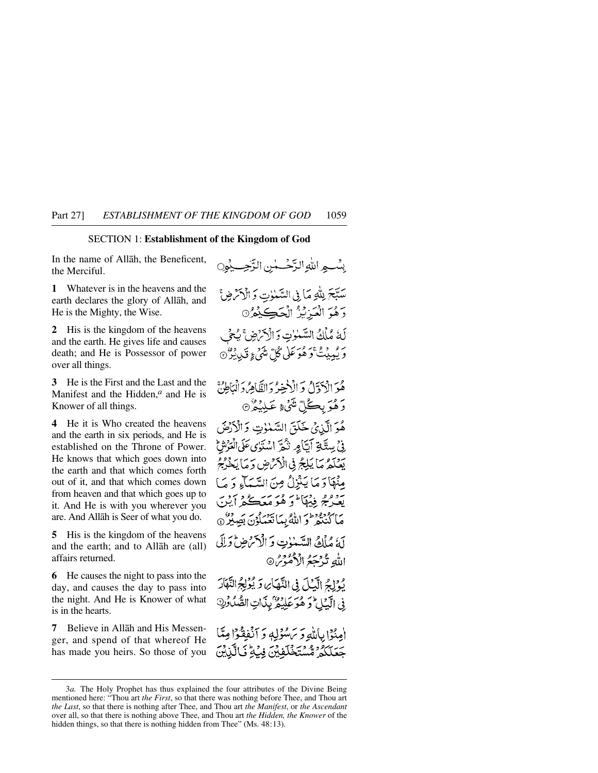### SECTION 1: **Establishment of the Kingdom of God**

In the name of Allåh, the Beneficent, the Merciful.

**1** Whatever is in the heavens and the earth declares the glory of Allåh, and He is the Mighty, the Wise.

**2** His is the kingdom of the heavens and the earth. He gives life and causes death; and He is Possessor of power over all things.

**3** He is the First and the Last and the Manifest and the Hidden,*<sup>a</sup>* and He is Knower of all things.

**4** He it is Who created the heavens and the earth in six periods, and He is established on the Throne of Power. He knows that which goes down into the earth and that which comes forth out of it, and that which comes down from heaven and that which goes up to it. And He is with you wherever you are. And Allåh is Seer of what you do.

**5** His is the kingdom of the heavens and the earth; and to Allåh are (all) affairs returned.

**6** He causes the night to pass into the day, and causes the day to pass into the night. And He is Knower of what is in the hearts.

**7** Believe in Allåh and His Messenger, and spend of that whereof He has made you heirs. So those of you

بِيْبِ اللَّهِ الدَّخْسِينِ الزَّجِسِيْمِينِ سَبَّحَ بِلَّٰتِهِ مَآ بِيَ السَّيْلِاتِ وَ الْإِمْ ضِ ۚ رَهُوَ الْعَزِيْزُ الْحَكِيْمُرُ٥ لَةُ مُلْكُ السَّيْنُوتِ وَالْأَمْرَضِ ۚ بِمُحْ لِ رَ بْمِينْتْ وَهُوَ عَلَى كُلّ مِيْتِي وَ تَبِي بِيْرٌ ۞ هُوَ الْآدَّلُّ وَ الْإِخِيرُ وَالظَّاهِرُوَ الْمَاطِنُّ رَ هُوَ بِڪُلِّ شَيْءٍ عَبِلْيَكُرْ۞ هُوَ الَّذِي خَلَقَ السَّنْوٰتِ وَالْأَرْضَ فِي بِيسِتَّلِيَّ أَيَّا مِرِ نَثْمَهَ اسْتَوٰى عَلَى الْعَرْشِيَّ يَعْدَدَهُ مَا يَلِيحُ فِي الْأَمْرُضِ وَمَا يَخْرُجُ مِنْهَا دَ مَا يَثْنِلُ مِنَ السَّيَآءِ دَ مَا يبودمج فيهالمؤ هُوَ مَعَكُمْ أينَ مَاكْنُنْهُرْ وَاللَّهُ بِمَا يَهْرُوْنَ بَصِبْرٌ ۞ أَمَّ مُأْلِمُ السَّبْنِاتِ وَ الْأَحْرَضِ وَإِلَى اللهِ تُدْجَعُ الْأُمُوْسُ® نْ إِلَيْهِ الْكَيْلَ فِي النَّهْكَأْيُ وَ يُؤْلِجُ النَّهَارَ فِي الْكِيَاحُ وَهُوَ عَلِيْهِ كَلِيْكَاتِ الصَّلُوْكِ امِنْوْا بِاللَّهِ وَيَرَسْوَلِهِ وَ آنْفِقْوْا مِتَّا جَعَلَكُمُ مُّسْتَخْلَفِيْنَ فِيْهِ فِّيَ الَّذِيْنَ

<sup>3</sup>*a.* The Holy Prophet has thus explained the four attributes of the Divine Being mentioned here: "Thou art *the First*, so that there was nothing before Thee, and Thou art *the Last*, so that there is nothing after Thee, and Thou art *the Manifest*, or *the Ascendant* over all, so that there is nothing above Thee, and Thou art *the Hidden, the Knower* of the hidden things, so that there is nothing hidden from Thee" (Ms. 48:13).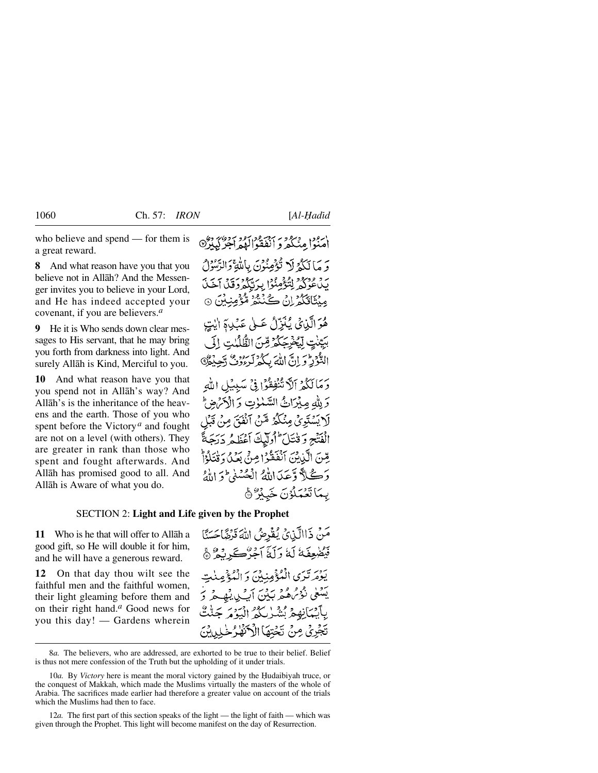who believe and spend — for them is a great reward.

**8** And what reason have you that you believe not in Allåh? And the Messenger invites you to believe in your Lord, and He has indeed accepted your covenant, if you are believers.*<sup>a</sup>*

**9** He it is Who sends down clear messages to His servant, that he may bring you forth from darkness into light. And surely Allåh is Kind, Merciful to you.

**10** And what reason have you that you spend not in Allåh's way? And Allåh's is the inheritance of the heavens and the earth. Those of you who spent before the Victory*<sup>a</sup>* and fought are not on a level (with others). They are greater in rank than those who spent and fought afterwards. And Allåh has promised good to all. And Allåh is Aware of what you do.

ارود وبرود برد ودبرو بردوی دو<br>امنوا مِنْگُمْرُو انْفَقُوالْلْهِمْ اجْرُکِیدِرُ® وَ مَا لَكُمْ لَا نُؤْمِنُونَ بِاللَّهِ وَالرَّسُوْلُ يَدْعُوْكُمْ لِتُؤْمِنُوْا بِرَتَّكُمْ دَقَّلْ آخَلَ مِنْتَاقِكُمْ إِنْ ݣَنْنَتُمْ مُّؤْمِنِينَ ۞ هُوَ الَّذِينُ يُنَزِّلُ عَــلِي عَبْدِهِ الَّذِينِ بِبَيِّنْتِ لَيُخْرِجَكُمْ قِنَّ الظُّلْبُتِ إِلَى التَّوْرِدُّ وَ إِنَّ اللَّهَ بِكُمْ لَرِءُوْثٌ دَّجِ دَمَا لَكُمْ ٱلْٱ تُنْفِقُوْا فِي سَبِيْلِ الله وَ لِلَّهِ مِبْرَاثٌ السَّنْوٰتِ وَ الْأَمْرَضِ ۖ لَا يَسْتَوِيُّ مِنْكَثَرُ مِّنَ ٱنْفَدَّ مِنْ الْفَتْحِ وَقْنَتَلَ أُولَيْكَ أَعْظَمُ دَرٍّ مِّنَ الَّذِينَ آنَفَقَوْا مِنْ بَعَلْ وَقْتَلُوْاْ وَكَلاً وَّعَدَاللَّهُ الْعُسْنِي (وَ اللَّهُ بِمَاتَعُمَلُوُنَ خَبِيْرٌ ﴾

### SECTION 2: **Light and Life given by the Prophet**

**11** Who is he that will offer to Allåh a good gift, so He will double it for him, and he will have a generous reward.

**12** On that day thou wilt see the faithful men and the faithful women, their light gleaming before them and on their right hand.*<sup>a</sup>* Good news for you this day! — Gardens wherein مَنْ ذَاالَّذِيْ يُقْرِضُ اللَّهَ قَرْضًاحَسَنًا فَيَضْعِفَهُ لَهُ وَلَمَّا آَخِرْكَ رَبُّوْ ﴾ يَوْمَرِتْدَى الْمُؤْمِنِينَ دَ الْمُؤْمِ يَنْتَعَىٰ نَّوْمُ هُ مَرْ يَكُنَّ أَبِّ لِ يَنْهِ بِأَكْسَانِهِمْ يُنْهُدْ كُنْ الْبَدْءَ تَجْرِيْ مِنْ نَخْتِهَا الْأَكْتُهْلُ

<sup>8</sup>*a.* The believers, who are addressed, are exhorted to be true to their belief. Belief is thus not mere confession of the Truth but the upholding of it under trials.

<sup>10</sup>*a*. By Victory here is meant the moral victory gained by the Hudaibiyah truce, or the conquest of Makkah, which made the Muslims virtually the masters of the whole of Arabia. The sacrifices made earlier had therefore a greater value on account of the trials which the Muslims had then to face.

<sup>12</sup>*a*. The first part of this section speaks of the light — the light of faith — which was given through the Prophet. This light will become manifest on the day of Resurrection.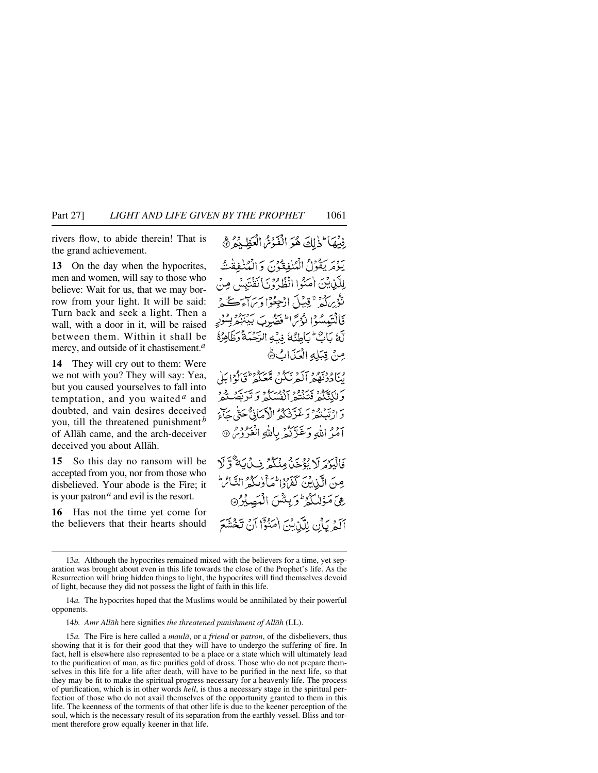rivers flow, to abide therein! That is the grand achievement.

**13** On the day when the hypocrites, men and women, will say to those who believe: Wait for us, that we may borrow from your light. It will be said: Turn back and seek a light. Then a wall, with a door in it, will be raised between them. Within it shall be mercy, and outside of it chastisement.*<sup>a</sup>*

**14** They will cry out to them: Were we not with you? They will say: Yea, but you caused yourselves to fall into temptation, and you waited *<sup>a</sup>* and doubted, and vain desires deceived you, till the threatened punishment *<sup>b</sup>* of Allåh came, and the arch-deceiver deceived you about Allåh.

**15** So this day no ransom will be accepted from you, nor from those who disbelieved. Your abode is the Fire; it is your patron*<sup>a</sup>* and evil is the resort.

**16** Has not the time yet come for the believers that their hearts should

فِيْهَا لِذَلِكَ هُوَ الْفَوْسُ الْعَظِيْدُ ﴾ يَوْمَرِيَقُوْلُ الْمُنْفِقُوْنَ وَالْمُنْفِقْتُ لِلَّيْنِ بِيْنَ أُحَنُوا انْظُارُوْيَ) نَقْتَبِيْي مِنْ تَّؤْرِ كُمْ \* قِيلَ ادْجِعُوْا وِيَرَاجَبِ كُمْ \* فَالْتَيْمِسُوْا نْدْمَ الْمَوْضُوبَ بَيْنَهُمْ بِسُوْرِ لَّهُ بَابٌ لَ بَاطِئُهُ فِي الرَّحْمَةُ رَظَاهِرُهُ مِنْ قِبَلِهِ الْعَذَابُ ١٥ وبا وديمود يَدَمّونَ مُتَصَلّْهُ مِنْ وَالْدَابَلَىٰ وَلَكَتَكُمْ فَتَنْتُدُّ أَنْفُسُكُمْ وَكَرَبَّهُمْ وَهُ وَ دَادْتَبْنُهُمْ وَغَدَّنْتُكُمُ ٱلْأَمَانِيُّ حَتَّى حَآءَ أُمَرُ اللَّهِ وَغَدِّكُمْ بِاللَّهِ الْغَرُومِ ۞ فَالْبَعْهَ لَا تَؤْخَنُّهُ مِنْكُمْ فِي لَيْ يَةٌ وَّ لَا صِنَ الَّذِينَ كَفَرُوْالْمَأْوٰلِكُمُّ الثَّائِرَا رفى مَوْللكُوْ وَيِشْنَ الْمُصِيْرُ آلَمْرِ يَأْنِ لِلَّيْنِيْنَ امْنُوْٓا آنُ تَخْشَعَ

<sup>13</sup>*a.* Although the hypocrites remained mixed with the believers for a time, yet separation was brought about even in this life towards the close of the Prophet's life. As the Resurrection will bring hidden things to light, the hypocrites will find themselves devoid of light, because they did not possess the light of faith in this life.

<sup>14</sup>*a.* The hypocrites hoped that the Muslims would be annihilated by their powerful opponents.

<sup>14</sup>*b. Amr Allåh* here signifies *the threatened punishment of Allåh* (LL).

<sup>15</sup>*a.* The Fire is here called a *maulå*, or a *friend* or *patron*, of the disbelievers, thus showing that it is for their good that they will have to undergo the suffering of fire. In fact, hell is elsewhere also represented to be a place or a state which will ultimately lead to the purification of man, as fire purifies gold of dross. Those who do not prepare themselves in this life for a life after death, will have to be purified in the next life, so that they may be fit to make the spiritual progress necessary for a heavenly life. The process of purification, which is in other words *hell*, is thus a necessary stage in the spiritual perfection of those who do not avail themselves of the opportunity granted to them in this life. The keenness of the torments of that other life is due to the keener perception of the soul, which is the necessary result of its separation from the earthly vessel. Bliss and torment therefore grow equally keener in that life.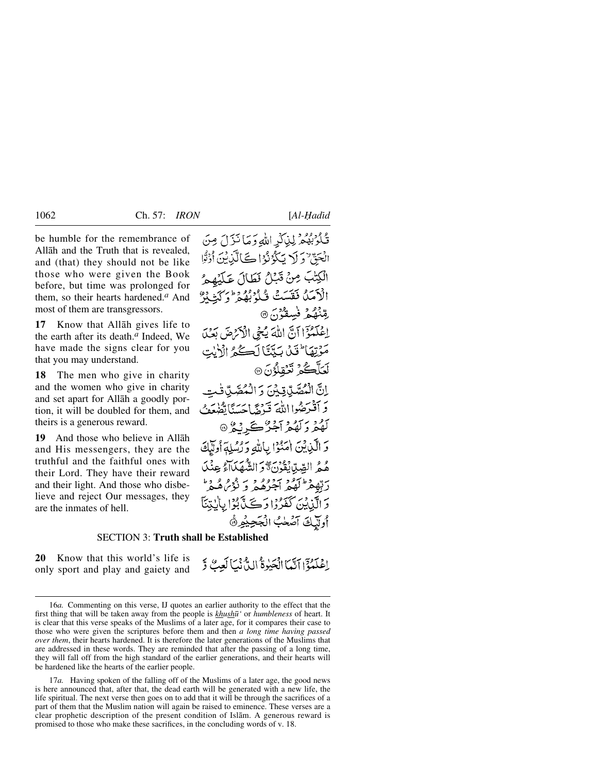be humble for the remembrance of Allåh and the Truth that is revealed, and (that) they should not be like those who were given the Book before, but time was prolonged for them, so their hearts hardened.*<sup>a</sup>* And most of them are transgressors.

**17** Know that Allåh gives life to the earth after its death.*<sup>a</sup>* Indeed, We have made the signs clear for you that you may understand.

**18** The men who give in charity and the women who give in charity and set apart for Allåh a goodly portion, it will be doubled for them, and theirs is a generous reward.

**19** And those who believe in Allåh and His messengers, they are the truthful and the faithful ones with their Lord. They have their reward and their light. And those who disbelieve and reject Our messages, they are the inmates of hell.

قُلُوْبُهُمْ لِيْلَكِّهِ اللَّهِ وَمَا نَّزَلَ مِنَ الْحَقِّ وَ لَا يَكُوْنُوْا كَالَّذِيْنَ أُوْتُوا الْكِتْبَ مِنْ قَبْلُ فَطَالَ عَلَيْهِمْ الْأَمَدُّ فَقَسَتْ فَيُدْبُهُمْ وَالْمَشْدَدُّ رقنْهُكُمُ فَسِقْوُنَ ® اِعْلَمُوْۤا آنَّ اللَّهَ يُجِي الْأَرْضَ بَعْدَ مَوْتِهَا لَقَلْ بَيِّتَّا لَكُمْ الْأَيْتِ لَعَلَّكُمُ نَعۡقلُوۡنَ ۞ إنَّ الْمُصَّدِّيِّةِ مِّنَ وَ الْمُصَّدِّ وَ أَقْدَحُهُوا اللَّهَ قَدْمَهُ إِحْسَنَاتِكْنِعَة گَهُهُرُدَ كَهُهُمُ آجُرٌ ڪَرِيْدُ ۞ وَ الْكَنْانُنَ إِيهَ إِمْ إِلاَّ اللَّهِ وَ دَسِلَةٍ أُولَيْكَ هُمُّ الصِّدِّابِقُوْنَ وَالشَّهَدَاءُ عِنْدَ رېږد د ده د وه د د مور و د دَ الَّذِيْنَ كَفَدُدًا دَڪَدٌّ بُوُّا بِانِدْيَآ أوللك آصله الجحيوة

## SECTION 3: **Truth shall be Established**

**20** Know that this world's life is only sport and play and gaiety and

إِعْلَمُةَ إِآتَيْمَا الْجَبْوَةُ الِيُّ نَيْمَا لَعِبٌ وَّ

<sup>16</sup>*a.* Commenting on this verse, IJ quotes an earlier authority to the effect that the first thing that will be taken away from the people is *khush∂'* or *humbleness* of heart. It is clear that this verse speaks of the Muslims of a later age, for it compares their case to those who were given the scriptures before them and then *a long time having passed over them*, their hearts hardened. It is therefore the later generations of the Muslims that are addressed in these words. They are reminded that after the passing of a long time, they will fall off from the high standard of the earlier generations, and their hearts will be hardened like the hearts of the earlier people.

<sup>17</sup>*a.* Having spoken of the falling off of the Muslims of a later age, the good news is here announced that, after that, the dead earth will be generated with a new life, the life spiritual. The next verse then goes on to add that it will be through the sacrifices of a part of them that the Muslim nation will again be raised to eminence. These verses are a clear prophetic description of the present condition of Islåm. A generous reward is promised to those who make these sacrifices, in the concluding words of v. 18.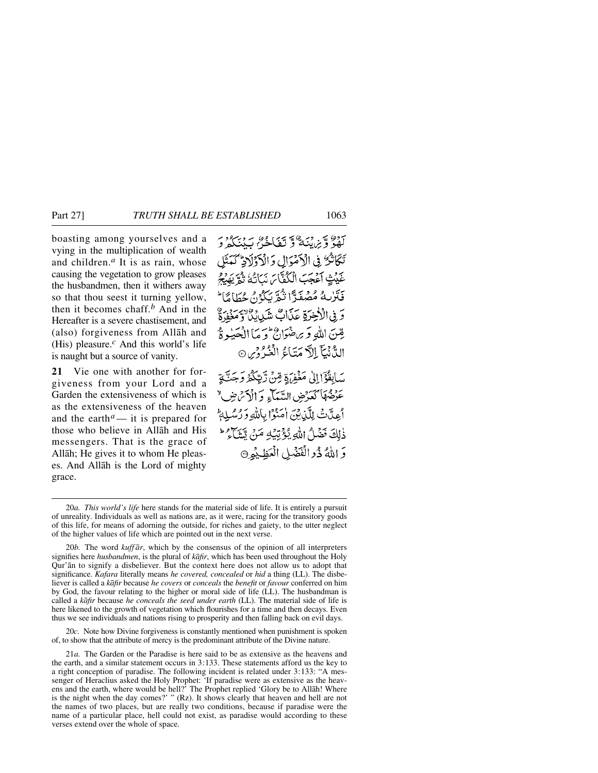boasting among yourselves and a vying in the multiplication of wealth and children.*<sup>a</sup>* It is as rain, whose causing the vegetation to grow pleases the husbandmen, then it withers away so that thou seest it turning yellow, then it becomes chaff.*<sup>b</sup>* And in the Hereafter is a severe chastisement, and (also) forgiveness from Allåh and (His) pleasure.*<sup>c</sup>* And this world's life is naught but a source of vanity.

**21** Vie one with another for forgiveness from your Lord and a Garden the extensiveness of which is as the extensiveness of the heaven and the earth<sup> $a$ </sup>— it is prepared for those who believe in Allåh and His messengers. That is the grace of Allåh; He gives it to whom He pleases. And Allåh is the Lord of mighty grace.

سور، تي دن مي سور، تي دن دن دند.<br>لهو و براينه و تعاجي سدنگه د تَكَاثَرٌ فِى الْأَمْرَالِ وَالْأَزْلَاذِ كَمَثَلِ غَيْثِ آعْجَبَ الْكُفَّاسَ نَبَاتُهُ ثُمَّ يَهْبُجُ فَتَرْبِهُ مُصْغَدًّا نُمَّرَّ بِكُرُّ، حُطَامًا ۖ رَ فِي الْأَخِيرَةِ عَدَاتٍ شَيْدِيدٌ وَلاَ يَدَمّ قِينَ اللَّهِ وَبِرَحْتَوَابٌ وَ مَا الْحَبْهِ ةُ الدُّنْيَآ إِلاَّ مَتَاءُ الْغُدُّوْسِ ۞ سَابِقُوْٓا إِلَىٰ مَغۡفِرَ}ِةِ مِّنۡ رَّبِّكُمۡ وَجَتَّبَةٍ عَنِضُهَا كَعَدْضِ السَّمَآءِ وَ الْأَمْرَضِ " أُعِدَّتْ لِلَّذِينَ امَنُوْا بِاللَّهِ وَرُسُلِهِ ذٰلِكَ فَضَلُ اللَّهِ يُؤْتِيَهِ مَنْ يَتَنَاءُ \* وَ اللَّهُ ذُو الْفَضْلِ الْعَظِيْمِ۞

20*b.* The word *kuff år*, which by the consensus of the opinion of all interpreters signifies here *husbandmen*, is the plural of *kåfir*, which has been used throughout the Holy Qur'ån to signify a disbeliever. But the context here does not allow us to adopt that significance. *Kafara* literally means *he covered, concealed* or *hid* a thing (LL). The disbeliever is called a *kåfir* because *he covers* or *conceals* the *benefit* or *favour* conferred on him by God, the favour relating to the higher or moral side of life (LL). The husbandman is called a *kåfir* because *he conceals the seed under earth* (LL). The material side of life is here likened to the growth of vegetation which flourishes for a time and then decays. Even thus we see individuals and nations rising to prosperity and then falling back on evil days.

20*c*. Note how Divine forgiveness is constantly mentioned when punishment is spoken of, to show that the attribute of mercy is the predominant attribute of the Divine nature.

<sup>20</sup>*a. This world's life* here stands for the material side of life. It is entirely a pursuit of unreality. Individuals as well as nations are, as it were, racing for the transitory goods of this life, for means of adorning the outside, for riches and gaiety, to the utter neglect of the higher values of life which are pointed out in the next verse.

<sup>21</sup>*a.* The Garden or the Paradise is here said to be as extensive as the heavens and the earth, and a similar statement occurs in 3:133. These statements afford us the key to a right conception of paradise. The following incident is related under 3:133: "A messenger of Heraclius asked the Holy Prophet: 'If paradise were as extensive as the heavens and the earth, where would be hell?' The Prophet replied 'Glory be to Allåh! Where is the night when the day comes?' " (Rz). It shows clearly that heaven and hell are not the names of two places, but are really two conditions, because if paradise were the name of a particular place, hell could not exist, as paradise would according to these verses extend over the whole of space.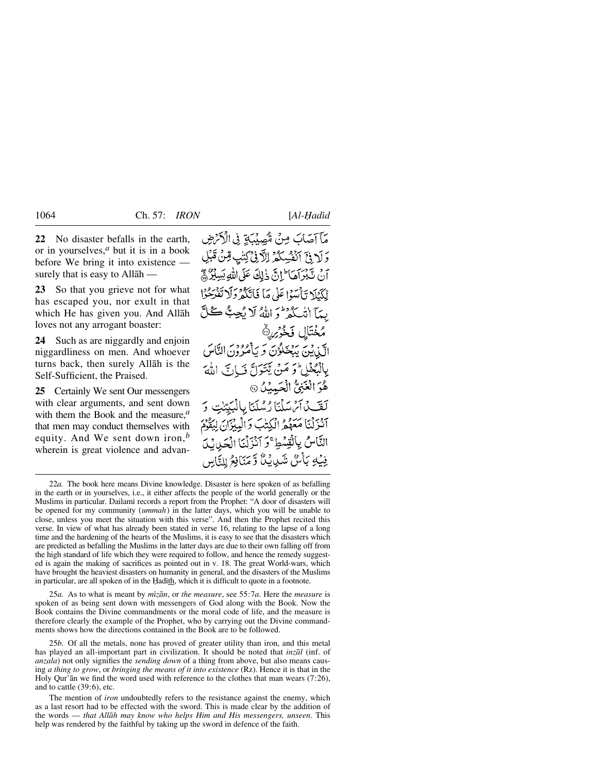**22** No disaster befalls in the earth, or in yourselves,*<sup>a</sup>* but it is in a book before We bring it into existence surely that is easy to Allåh —

**23** So that you grieve not for what has escaped you, nor exult in that which He has given you. And Allåh loves not any arrogant boaster:

**24** Such as are niggardly and enjoin niggardliness on men. And whoever turns back, then surely Allåh is the Self-Sufficient, the Praised.

**25** Certainly We sent Our messengers with clear arguments, and sent down with them the Book and the measure,*<sup>a</sup>* that men may conduct themselves with equity. And We sent down iron,*<sup>b</sup>* wherein is great violence and advan-

مَآآمَاتَ مِنْ مُهْمِنْتَةِ فِي الْآيَاضِ وَلَا فِيَّ اَنْفُسِكُمْ اِلَّافِيُّ لِنَّبِ قِنْ ثَبْلِ أَنْ يَسْبَرْأَهَا ۖ إِنَّ ذَلِكَ عَلَى اللَّهِ يَسِبُرٌ ﴾ ٱلْكَيْلَا وَأَمَيَنَا عَلَى مَا فَاتَكُهُ وَلَا تَفْدَحُوْا يدَآ انْكُثْرُ وَ اللَّهُ لَا يُجِبُّ كُلَّ مُخْتَالِ فَخْرَيْنَ الَّذِينَ يَبْخَلُوْنَ وَيَأْمُرُونَ النَّاسَ بِالْبُخْلِ وَ مَنْ يَتَوَلَّ نَسَاتَ اللَّهَ هُوَ الْغَنِيُّ الْحَمِيْنُ ۞ لَقَّـدُ أَمُسَلَّنَا رُسُلَنَا بِالْبَيِّنْتِ أَنْزَلْنَا مَعَهُمُ الْكِتْبَ وَالْمِبْزَانِ لِيَقُوْمَ النَّاسُ بِالْقِسُطِ ۚ وَ آنْزَلْنَا الْحَرِيبُ ِفِيۡ بِٱۡسٌ شَٰٓدِانُ وَّ مَنَافِعُ لِلِّهَاسِ

25*a.* As to what is meant by *mßzån*, or *the measure*, see 55:7*a*. Here the *measure* is spoken of as being sent down with messengers of God along with the Book. Now the Book contains the Divine commandments or the moral code of life, and the measure is therefore clearly the example of the Prophet, who by carrying out the Divine commandments shows how the directions contained in the Book are to be followed.

25*b.* Of all the metals, none has proved of greater utility than iron, and this metal has played an all-important part in civilization. It should be noted that *inzål* (inf. of *anzala*) not only signifies the *sending down* of a thing from above, but also means causing *a thing to grow*, or *bringing the means of it into existence* (Rz). Hence it is that in the Holy Qur'ån we find the word used with reference to the clothes that man wears (7:26), and to cattle (39:6), etc.

The mention of *iron* undoubtedly refers to the resistance against the enemy, which as a last resort had to be effected with the sword. This is made clear by the addition of the words — *that Allåh may know who helps Him and His messengers, unseen*. This help was rendered by the faithful by taking up the sword in defence of the faith.

<sup>22</sup>*a.* The book here means Divine knowledge. Disaster is here spoken of as befalling in the earth or in yourselves, i.e., it either affects the people of the world generally or the Muslims in particular. Dailami records a report from the Prophet: "A door of disasters will be opened for my community (*ummah*) in the latter days, which you will be unable to close, unless you meet the situation with this verse". And then the Prophet recited this verse. In view of what has already been stated in verse 16, relating to the lapse of a long time and the hardening of the hearts of the Muslims, it is easy to see that the disasters which are predicted as befalling the Muslims in the latter days are due to their own falling off from the high standard of life which they were required to follow, and hence the remedy suggested is again the making of sacrifices as pointed out in v. 18. The great World-wars, which have brought the heaviest disasters on humanity in general, and the disasters of the Muslims in particular, are all spoken of in the Hadith, which it is difficult to quote in a footnote.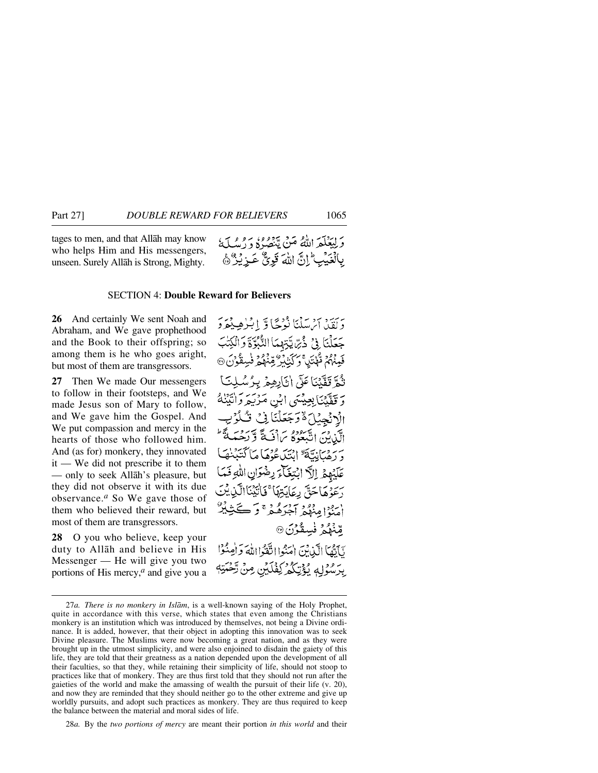tages to men, and that Allåh may know who helps Him and His messengers, unseen. Surely Allåh is Strong, Mighty.

### SECTION 4: **Double Reward for Believers**

**26** And certainly We sent Noah and Abraham, and We gave prophethood and the Book to their offspring; so among them is he who goes aright, but most of them are transgressors.

**27** Then We made Our messengers to follow in their footsteps, and We made Jesus son of Mary to follow, and We gave him the Gospel. And We put compassion and mercy in the hearts of those who followed him. And (as for) monkery, they innovated it — We did not prescribe it to them — only to seek Allåh's pleasure, but they did not observe it with its due observance.*<sup>a</sup>* So We gave those of them who believed their reward, but most of them are transgressors.

**28** O you who believe, keep your duty to Allåh and believe in His Messenger — He will give you two portions of His mercy,*<sup>a</sup>* and give you a

دَيْنَ دِينَ سَنْنَا نُدْجًا وَ إِبْلِاهِيْهُوَ دَ جَعَلْنَا فِيْ ذُيْرِ يَّتِهْمَا الثَّبْوَّةَ وَ فَيِمْهُمْ قُهْنَيْنَ وَكَيْنَبُرْ قِمْ نُثُمَّ قَفَّنْنَا عَلَى إِنَّارِهِمْ بِهِ يَ قَفَّدْنَا بِعِيْسَى إِبْنِ مَرْ الْدْنْجِيْبَ َهْ دَجَعَ الَّذِنَ اتَّبَعُوهُ سَ[ْنَبَةً برزهنانيَّةٌ إِنْتَدَعُوْهَا مَا خَبَآءَ رضْوَانِ اللَّهِ أ عَلَّمُهُمْ إِلَّا أَنَّة رَعَوْهَا حَقٌّ رِعَابَتِهَا ۚ فَأَنْبَيْنَاالَّذِينَ اسڤرامِنوگی آهرَهُ هُ هُ وَ -پرېږي فسقون <sub>®</sub> أَ آدَّهَا إِلَيْدِانَهِ ۖ إِحَدُوا اتَّفَدُّا اللَّهَ وَ أَو بِرَسْوَلِهِ بِمُؤْتِيَكُمْ كِفْلَيْنِ مِنْ تَرَ

28*a.* By the *two portions of mercy* are meant their portion *in this world* and their

<sup>27</sup>*a. There is no monkery in Islåm*, is a well-known saying of the Holy Prophet, quite in accordance with this verse, which states that even among the Christians monkery is an institution which was introduced by themselves, not being a Divine ordinance. It is added, however, that their object in adopting this innovation was to seek Divine pleasure. The Muslims were now becoming a great nation, and as they were brought up in the utmost simplicity, and were also enjoined to disdain the gaiety of this life, they are told that their greatness as a nation depended upon the development of all their faculties, so that they, while retaining their simplicity of life, should not stoop to practices like that of monkery. They are thus first told that they should not run after the gaieties of the world and make the amassing of wealth the pursuit of their life (v. 20), and now they are reminded that they should neither go to the other extreme and give up worldly pursuits, and adopt such practices as monkery. They are thus required to keep the balance between the material and moral sides of life.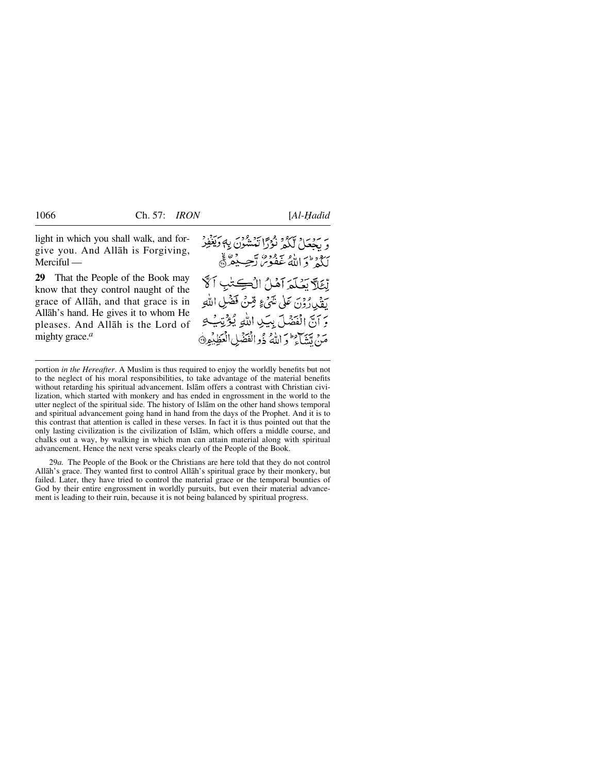light in which you shall walk, and forgive you. And Allåh is Forgiving, Merciful —

**29** That the People of the Book may know that they control naught of the grace of Allåh, and that grace is in Allåh's hand. He gives it to whom He pleases. And Allåh is the Lord of mighty grace.*<sup>a</sup>*

م يحصّلُ لَكُمْ نُؤْدًا تَمْشُونَ بِهِ دَيَغْفِرُ ببعدون لأو سعوده وسيده والخ تْعَلَّا تَصْلَعَ آهْلُ الْڪِتُبِ آڱ يَقْدِرُدُنَ عَلَى شَيْءٍ قِنْ فَضْلِ اللَّهِ يَرَانَّ الْفَضَلَ بِيَكِ اللَّهِ يُؤْتِبُ مَنْ تَتَبَاءَ وَ اللَّهُ ذُوالْفَضَلِ الْعَظِيْمِ۞

29*a.* The People of the Book or the Christians are here told that they do not control Allåh's grace. They wanted first to control Allåh's spiritual grace by their monkery, but failed. Later, they have tried to control the material grace or the temporal bounties of God by their entire engrossment in worldly pursuits, but even their material advancement is leading to their ruin, because it is not being balanced by spiritual progress.

portion *in the Hereafter*. A Muslim is thus required to enjoy the worldly benefits but not to the neglect of his moral responsibilities, to take advantage of the material benefits without retarding his spiritual advancement. Islåm offers a contrast with Christian civilization, which started with monkery and has ended in engrossment in the world to the utter neglect of the spiritual side. The history of Islåm on the other hand shows temporal and spiritual advancement going hand in hand from the days of the Prophet. And it is to this contrast that attention is called in these verses. In fact it is thus pointed out that the only lasting civilization is the civilization of Islåm, which offers a middle course, and chalks out a way, by walking in which man can attain material along with spiritual advancement. Hence the next verse speaks clearly of the People of the Book.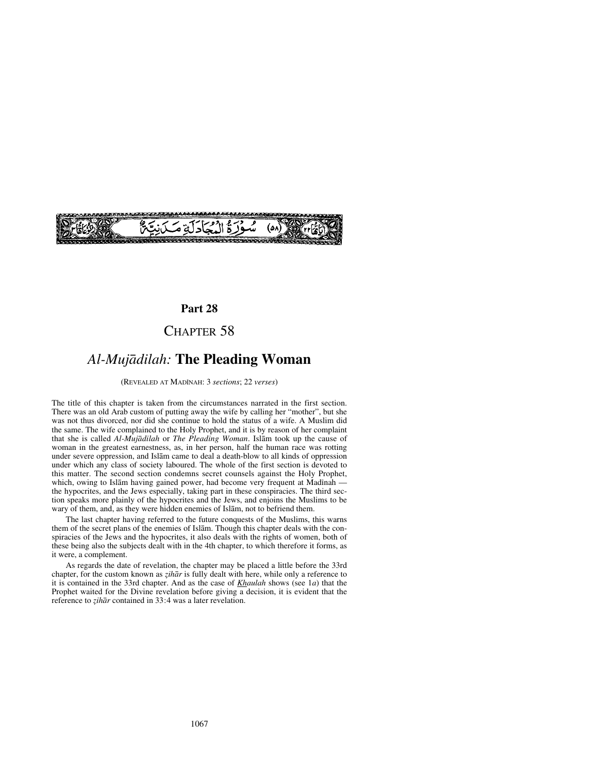

## **Part 28**

# CHAPTER 58

# *Al-Mujådilah:* **The Pleading Woman**

(REVEALED AT MADÍNAH: 3 *sections*; 22 *verses*)

The title of this chapter is taken from the circumstances narrated in the first section. There was an old Arab custom of putting away the wife by calling her "mother", but she was not thus divorced, nor did she continue to hold the status of a wife. A Muslim did the same. The wife complained to the Holy Prophet, and it is by reason of her complaint that she is called *Al-Mujådilah* or *The Pleading Woman*. Islåm took up the cause of woman in the greatest earnestness, as, in her person, half the human race was rotting under severe oppression, and Islåm came to deal a death-blow to all kinds of oppression under which any class of society laboured. The whole of the first section is devoted to this matter. The second section condemns secret counsels against the Holy Prophet, which, owing to Islam having gained power, had become very frequent at Madinah the hypocrites, and the Jews especially, taking part in these conspiracies. The third section speaks more plainly of the hypocrites and the Jews, and enjoins the Muslims to be wary of them, and, as they were hidden enemies of Islåm, not to befriend them.

The last chapter having referred to the future conquests of the Muslims, this warns them of the secret plans of the enemies of Islåm. Though this chapter deals with the conspiracies of the Jews and the hypocrites, it also deals with the rights of women, both of these being also the subjects dealt with in the 4th chapter, to which therefore it forms, as it were, a complement.

As regards the date of revelation, the chapter may be placed a little before the 33rd chapter, for the custom known as *zihār* is fully dealt with here, while only a reference to it is contained in the 33rd chapter. And as the case of *Khaulah* shows (see 1*a*) that the Prophet waited for the Divine revelation before giving a decision, it is evident that the reference to *zihār* contained in 33:4 was a later revelation.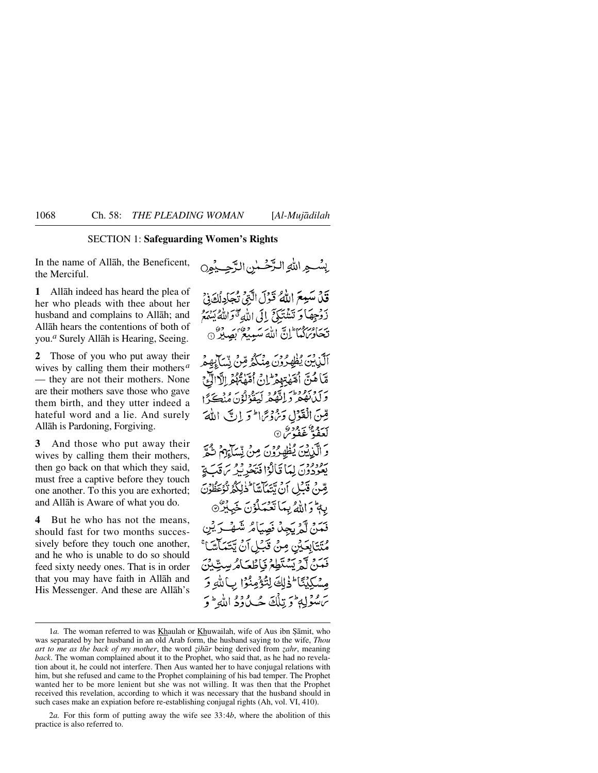## SECTION 1: **Safeguarding Women's Rights**

In the name of Allåh, the Beneficent, the Merciful.

**1** Allåh indeed has heard the plea of her who pleads with thee about her husband and complains to Allåh; and Allåh hears the contentions of both of you.*<sup>a</sup>* Surely Allåh is Hearing, Seeing.

**2** Those of you who put away their wives by calling them their mothers*<sup>a</sup>* — they are not their mothers. None are their mothers save those who gave them birth, and they utter indeed a hateful word and a lie. And surely Allåh is Pardoning, Forgiving.

**3** And those who put away their wives by calling them their mothers, then go back on that which they said, must free a captive before they touch one another. To this you are exhorted; and Allåh is Aware of what you do.

**4** But he who has not the means, should fast for two months successively before they touch one another, and he who is unable to do so should feed sixty needy ones. That is in order that you may have faith in Allåh and His Messenger. And these are Allåh's بِينْسِجِرِ اللَّهِ الرَّحْسٰنِ الرَّحِيدُ مِنْ قَلْ مَنْهِعَ اللَّهُ قَوْلَ اتَّنِي تَجَادِلُكَوْنَ

ذَوْجِهَا وَتَتَثَّذَكَنَّ إِلَى اللَّهِ تَتَوَاللَّهُ يَسْهَعُ تَحَادُ َكَمَا إِنَّ اللَّهَ سَبِيعٌ نَصَيْرٌ ۞

أَلَّذِينَ يُظْهَدُونَ مِنْكُمُ مِّنْ نِّيَدَ مَّا هُنَّ أَمَّهْتِهِمْ إِنَّ أَمَّهْ أَهْمَا إِلَّا برسم وعدد استعمر كبيثة وي مرديجي ا قِينَ الْقَوْلِ وَيُؤْتِرَا لَوْ إِنَّ اللَّهَ ۍ ده مخ ته د ده<br>لغفه غفوس ©

وَالَّذِيْنَ يُظْهِرُوْنَ مِنْ نِّسَآءِهِمْ شُمَّ يُعْدِدُونَ لِمَا قَالَوْا فَتَحْدِثِيرُ بِنَ قَبَ يَوْ رِمْلِنْ قَدَلْ أَنْ تَتَعَالَمْاً فَلِلْكُمْ نُوْعَظُوْنَ بِهِ تَوَ اللَّهُ بِيَمَا تَعْبَدُ كَوْنَ خَبِيْرٌ ۞ فَعَدَّةً، لَّمْ يَجِدُّ فَصِيَامُ شَهْبَ رَبْنِ مُتَتَابِعَيْنِ مِنْ قَبَلِ آنْ يَتَتَمَاَّسَّ فَعَنْ آَجْ يَسْتَطِعْ فَإِطْعَامُ سِتِّينَ مِسْكِيْتَا ۚ ذَٰلِكَ لِتُؤْمِنُوۡ ۚ بِٱللَّهِ وَ سَ مُؤْلِّهِ ۖ وَ تِلْكَ جُبِّ دُوْمَ اللَّهِ ۖ وَ

<sup>1</sup>a. The woman referred to was **Khaulah or Khuwailah**, wife of Aus ibn Şāmit, who was separated by her husband in an old Arab form, the husband saying to the wife, *Thou art to me as the back of my mother*, the word *˚ihår* being derived from *˚ahr*, meaning *back*. The woman complained about it to the Prophet, who said that, as he had no revelation about it, he could not interfere. Then Aus wanted her to have conjugal relations with him, but she refused and came to the Prophet complaining of his bad temper. The Prophet wanted her to be more lenient but she was not willing. It was then that the Prophet received this revelation, according to which it was necessary that the husband should in such cases make an expiation before re-establishing conjugal rights (Ah, vol. VI, 410).

<sup>2</sup>*a.* For this form of putting away the wife see 33:4*b*, where the abolition of this practice is also referred to.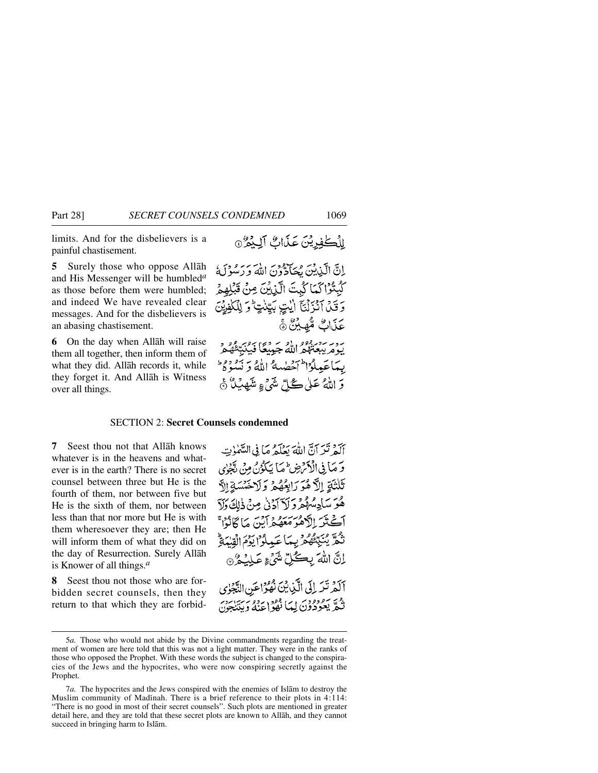limits. And for the disbelievers is a painful chastisement.

**5** Surely those who oppose Allåh and His Messenger will be humbled*<sup>a</sup>* as those before them were humbled; and indeed We have revealed clear messages. And for the disbelievers is an abasing chastisement.

**6** On the day when Allåh will raise them all together, then inform them of what they did. Allåh records it, while they forget it. And Allåh is Witness over all things.

إِنَّ الَّذِينَ مِجَادُّونَ اللَّهَ وَرَسُوْلَهُ كَيْتُوْاكَمَا كُبِتَ الَّذِيْنَ مِنْ قَبْلِهِمْ وَقَلْ آَتَزَلْنَآ الْيُتِ بَيِّنْتٍ ۚ وَ لِلْكَفِيْنَ عَذَابٌ مُّهِينٌ ﴾ سوسے وہ دور دو سے دی ہے۔<br>یومربیعتلمر اللہ جینیعاً فیڈ بِهَاعَبِيلُوْاطَ آخْطِيبِهُ اللَّهُ وَ نَسُوهُ وَ وَ اللَّهُ عَلَىٰ گُلِّ شَيْءٍ مِنْيَهِيْهِ ۚ ﴿

### SECTION 2: **Secret Counsels condemned**

**7** Seest thou not that Allåh knows whatever is in the heavens and whatever is in the earth? There is no secret counsel between three but He is the fourth of them, nor between five but He is the sixth of them, nor between less than that nor more but He is with them wheresoever they are; then He will inform them of what they did on the day of Resurrection. Surely Allåh is Knower of all things.*<sup>a</sup>*

**8** Seest thou not those who are forbidden secret counsels, then they return to that which they are forbid-

أَلَهُ تَدَ أَنَّ اللَّهَ بَعْلَهُ مَا فِي السَّمْاتِ وَ مَاَ فِي الْأَمْرَضِ مَمَا يَكْوُنُ مِنْ يَّجْنِي تَلْتَةِ إِلَّا هُوَرَابِعُهُمْ وَلَاخَتَسَةِ الَّ هُوَ سَادِسُهُمْ وَلَاَ آدْنَىٰ مِنْ ذٰلِكَ وَلَاَ آڪَٽَرَ الْأَهْرَمَعَهُ جَرَبَيْنَ مَا ڳَانُوْا مُنْ نَكُمَّ مِنْبِيِّنَّهُ مِرْبِعِهَا عَبِيلُوْ إِبَوْمَ الْقِيْعَةِ ۖ إِنَّ اللَّهَ بِكُلِّ شَيْءٍ عَلِيُهُ ﴾ آلَهُ تَرَ إِلَى الَّذِيْنَ نُهُوْاعَنِ النَّجْرُى تَكُمَّرٌ يَعُودُونَ لِيمَا نَفْوُاعِنَهُ وَبِيَنْجِينَ

5*a.* Those who would not abide by the Divine commandments regarding the treatment of women are here told that this was not a light matter. They were in the ranks of those who opposed the Prophet. With these words the subject is changed to the conspiracies of the Jews and the hypocrites, who were now conspiring secretly against the Prophet.

<sup>7</sup>*a.* The hypocrites and the Jews conspired with the enemies of Islåm to destroy the Muslim community of Madinah. There is a brief reference to their plots in  $4:114$ : "There is no good in most of their secret counsels". Such plots are mentioned in greater detail here, and they are told that these secret plots are known to Allåh, and they cannot succeed in bringing harm to Islåm.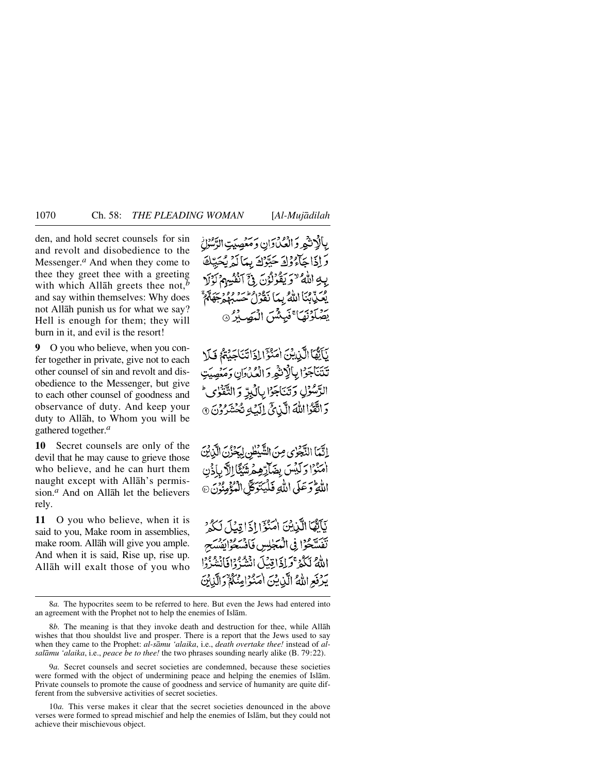den, and hold secret counsels for sin and revolt and disobedience to the Messenger.<sup>*a*</sup> And when they come to thee they greet thee with a greeting with which Allåh greets thee not,*<sup>b</sup>* and say within themselves: Why does not Allåh punish us for what we say? Hell is enough for them; they will burn in it, and evil is the resort!

**9** O you who believe, when you confer together in private, give not to each other counsel of sin and revolt and disobedience to the Messenger, but give to each other counsel of goodness and observance of duty. And keep your duty to Allåh, to Whom you will be gathered together.*<sup>a</sup>*

**10** Secret counsels are only of the devil that he may cause to grieve those who believe, and he can hurt them naught except with Allåh's permission.*<sup>a</sup>* And on Allåh let the believers rely.

**11** O you who believe, when it is said to you, Make room in assemblies, make room. Allåh will give you ample. And when it is said, Rise up, rise up. Allåh will exalt those of you who بِالْإِنْثَهِ وَالْعُدْبَوَانِ وَمَعۡصِبَتِ الدَّسُوۡلُ وَإِذَا حَآءُ وَلَهَ حَتَّوْكَ بِيَا لَهُ بِحَيَّكَ بِكِ اللَّهُ "وَيَقُوْلُونَ فِيَ آنْفُسِهِمْ فِكَ بِّيَا اللَّهُ بِيَا نَكْفُوا طَنْ حَسَّة بِرْدِينَ<sup>»</sup> فَبِئَتُنَ الْبَصَلَرُ @

يَأَنَّهَا الَّذِينَ أَمَنَّوْٓا إِذَا تَنَاجَدُهُمْ فَبِلَا تتتناجؤا بالإنثمر والعكادان ومئصيت الرَّسُوُّلِ وَتَنَاجَوْا بِالْكِرِّ وَ التَّقْوُ دَ اتَّقَوَّا اللَّهَ الَّيْائِيِّ إِلَيْهِ تُحُشَدُونَ ۞

اِنَّمَا النَّجْزِي مِنَ الشَّيْطُنِ لِيَحْزُنَ الَّذِيْنَ امَنُوْا وَلَيْسَ بِضَآرِّهِمْشَيْئًا إِلَّا بِأَذْن اللَّهِ تَوَعَلَى اللَّهِ فَلَيْتَوَكَّلَ الْمُؤْمِنُونَ۞

نَاَتَّهَا الَّذِيْنَ اٰمَنُوۡٓ ٰ إِذَا قِبَلَ لَكُهُ ۚ تَفَسَّحُوْا فِي الْمَجْلِسِ فَأَقْسَحُوْابِقِسَح اللَّهُ لَكُمْ قَرِاذَاقِيْلَ انْثَبُةُ وَإِفَانَتْنُزُوْا يَدْفَعِ اللَّهُ الَّيْنِ يَنِ اٰهَنَّوْاعِنَكُمْ دَ الَّذِبْنَ

<sup>8</sup>*a.* The hypocrites seem to be referred to here. But even the Jews had entered into an agreement with the Prophet not to help the enemies of Islåm.

<sup>8</sup>*b.* The meaning is that they invoke death and destruction for thee, while Allåh wishes that thou shouldst live and prosper. There is a report that the Jews used to say when they came to the Prophet: *al-såmu 'alaika*, i.e., *death overtake thee!* instead of *alsalåmu 'alaika*, i.e., *peace be to thee!* the two phrases sounding nearly alike (B. 79:22).

<sup>9</sup>*a.* Secret counsels and secret societies are condemned, because these societies were formed with the object of undermining peace and helping the enemies of Islåm. Private counsels to promote the cause of goodness and service of humanity are quite different from the subversive activities of secret societies.

<sup>10</sup>*a.* This verse makes it clear that the secret societies denounced in the above verses were formed to spread mischief and help the enemies of Islåm, but they could not achieve their mischievous object.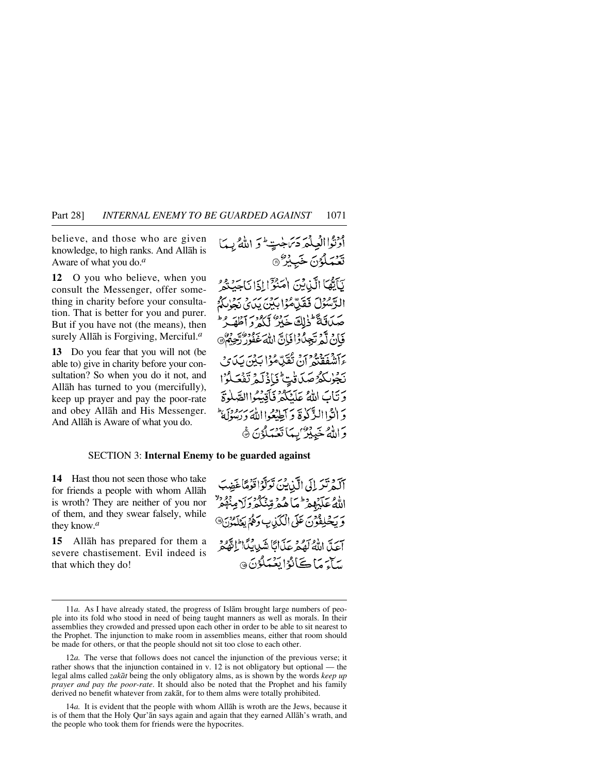believe, and those who are given knowledge, to high ranks. And Allåh is Aware of what you do.*<sup>a</sup>*

**12** O you who believe, when you consult the Messenger, offer something in charity before your consultation. That is better for you and purer. But if you have not (the means), then surely Allåh is Forgiving, Merciful.*<sup>a</sup>*

**13** Do you fear that you will not (be able to) give in charity before your consultation? So when you do it not, and Allåh has turned to you (mercifully), keep up prayer and pay the poor-rate and obey Allåh and His Messenger. And Allåh is Aware of what you do.

### SECTION 3: **Internal Enemy to be guarded against**

**14** Hast thou not seen those who take for friends a people with whom Allåh is wroth? They are neither of you nor of them, and they swear falsely, while they know.*<sup>a</sup>*

**15** Allåh has prepared for them a severe chastisement. Evil indeed is that which they do!

آلَهُ تَرَ إِلَى الَّذِينَ تَوَلَّوْا قَوْمًا غَضِبَ الله عَلَيْهِمْ مِّمَاهُمْ وِيَدْ دَارِ وَقَالَتِهِمْ لَهُمْ وَبِكَلِفُوْنَ عَلَى الْكَذِبِ وَهُمْ يَعْلَمُوْنَ® آعَدَّ اللَّهُ لَهُمْ عَذَانًا شَدِيبُدًا لِنَّهْجُمْ يري بري ڪاندا بَعْبَدَ بِقَ هَ

<sup>11</sup>*a.* As I have already stated, the progress of Islåm brought large numbers of people into its fold who stood in need of being taught manners as well as morals. In their assemblies they crowded and pressed upon each other in order to be able to sit nearest to the Prophet. The injunction to make room in assemblies means, either that room should be made for others, or that the people should not sit too close to each other.

<sup>12</sup>*a.* The verse that follows does not cancel the injunction of the previous verse; it rather shows that the injunction contained in v. 12 is not obligatory but optional — the legal alms called *zakåt* being the only obligatory alms, as is shown by the words *keep up prayer and pay the poor-rate*. It should also be noted that the Prophet and his family derived no benefit whatever from zakåt, for to them alms were totally prohibited.

<sup>14</sup>*a.* It is evident that the people with whom Allåh is wroth are the Jews, because it is of them that the Holy Qur'ån says again and again that they earned Allåh's wrath, and the people who took them for friends were the hypocrites.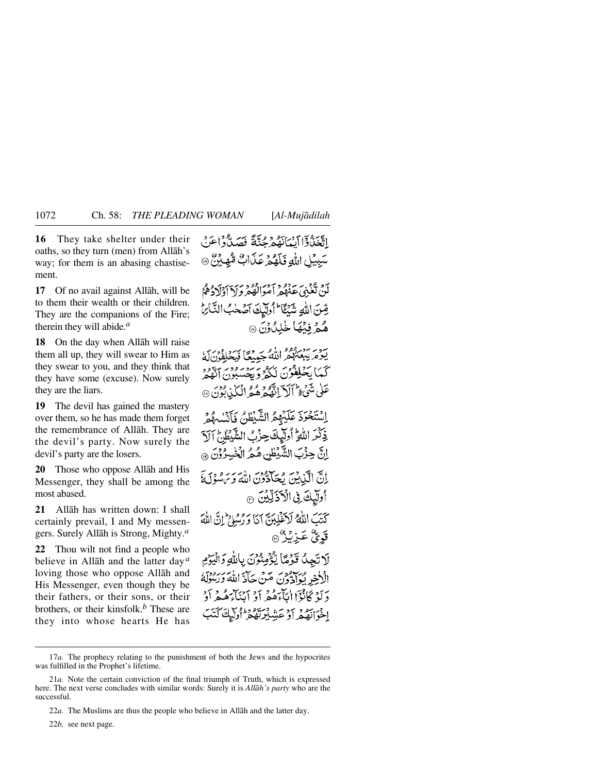**16** They take shelter under their oaths, so they turn (men) from Allåh's way; for them is an abasing chastisement.

**17** Of no avail against Allåh, will be to them their wealth or their children. They are the companions of the Fire; therein they will abide.*<sup>a</sup>*

**18** On the day when Allåh will raise them all up, they will swear to Him as they swear to you, and they think that they have some (excuse). Now surely they are the liars.

**19** The devil has gained the mastery over them, so he has made them forget the remembrance of Allåh. They are the devil's party. Now surely the devil's party are the losers.

**20** Those who oppose Allåh and His Messenger, they shall be among the most abased.

**21** Allåh has written down: I shall certainly prevail, I and My messengers. Surely Allåh is Strong, Mighty.*<sup>a</sup>*

**22** Thou wilt not find a people who believe in Allåh and the latter day*<sup>a</sup>* loving those who oppose Allåh and His Messenger, even though they be their fathers, or their sons, or their brothers, or their kinsfolk.*<sup>b</sup>* These are they into whose hearts He has اتَّغَنُّوْٓاآيِمَانَهُمْ جِنَّةً فَصَلَّوۡاعَنَ سَبِيْلِ اللَّهِ فَلَهُمْ عَذَابٌ مُّهِيْنٌ ۞

لَّهُ تَغْنِيَ عَنْهُمْ أَمْوَالْفُهُمْ وَلَا أَوْلَادُهُمْ قِبنَ اللَّهِ شَبْكًا ۖ أُولَٰيكَ آصَحْبُ التَّ هُمۡ فِيۡهَا خٰلِيُّ وۡنَ ۞

وه داره به حرور ودين<br>همرالله جيميعي فيحلفون له كَمَا بَحْلِقُونَ لَكُهُ وَ بِيُوْمٍ وَمِرْبَةٍ وَدِ عَلَى شَيْءٍ أَلَلاَ اتَّقَعِ هُهُمُ الْمَكِذِ، وَقُرَنَ @

اسْتَحْرَدَ عَلَيْهِمُّ الشَّيْطِيُّ فَأَنْسَبِهُمْ ذِكْرَ اللَّهِ أُولَيْكَ حِزْبُ الشَّيْطُهِ } آلا اِنَّ حِزْبَ الشَّيْطُنِ هُمُّ الْخُسِرُوْنَ @ إِنَّ الَّذِينَ مِجَادَّوْنَ اللَّهَ وَيَرْشُوْكَيَّ أُولِّيكَ فِى الْأَذَلِّيْنَ @ كَتَبَ اللَّهُ لَا تَغْلِينَ آيَا وَرُسُلِي إِنَّ اللَّهَ قَوِيٌّ عَـزِيْزٌ ۞

لاتجد قومًا يْݣُوبْوْن بِاللَّهِ وَالْيَوْمِ الْأَخِرِ بُوَأَدَّوْنَ مَنْ حَأَدَّ اللَّهَ وَرَّهُ دَ لَهُ كَانُوْا إِيَّاءَهُمْ أَوْ أَيْنَاءَهُمْ أَدْ اخْوَانَقْدْ أَدْعَشْكِرْتَقْدْ أُولَيْكَ

<sup>17</sup>*a.* The prophecy relating to the punishment of both the Jews and the hypocrites was fulfilled in the Prophet's lifetime.

<sup>21</sup>*a.* Note the certain conviction of the final triumph of Truth, which is expressed here. The next verse concludes with similar words: Surely it is *Allåh's party* who are the successful.

<sup>22</sup>*a.* The Muslims are thus the people who believe in Allåh and the latter day.

<sup>22</sup>*b,* see next page.